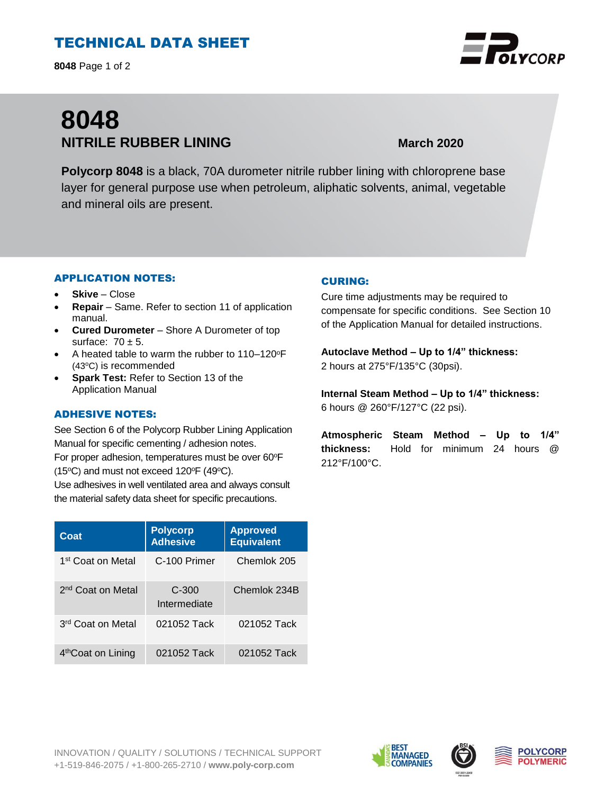# TECHNICAL DATA SHEET

**8048** Page 1 of 2

# **8048 NITRILE RUBBER LINING March 2020**

**Polycorp 8048** is a black, 70A durometer nitrile rubber lining with chloroprene base layer for general purpose use when petroleum, aliphatic solvents, animal, vegetable and mineral oils are present.

#### APPLICATION NOTES:

- **Skive** Close
- **Repair**  Same. Refer to section 11 of application manual.
- **Cured Durometer**  Shore A Durometer of top surface:  $70 \pm 5$ .
- A heated table to warm the rubber to  $110-120^{\circ}F$ (43°C) is recommended
- **Spark Test:** Refer to Section 13 of the Application Manual

#### ADHESIVE NOTES:

See Section 6 of the Polycorp Rubber Lining Application Manual for specific cementing / adhesion notes. For proper adhesion, temperatures must be over 60°F (15 $\textdegree$ C) and must not exceed 120 $\textdegree$ F (49 $\textdegree$ C).

Use adhesives in well ventilated area and always consult the material safety data sheet for specific precautions.

| Coat                           | <b>Polycorp</b><br><b>Adhesive</b> | <b>Approved</b><br><b>Equivalent</b> |
|--------------------------------|------------------------------------|--------------------------------------|
| 1st Coat on Metal              | C-100 Primer                       | Chemlok 205                          |
| 2 <sup>nd</sup> Coat on Metal  | $C-300$<br>Intermediate            | Chemlok 234B                         |
| 3 <sup>rd</sup> Coat on Metal  | 021052 Tack                        | 021052 Tack                          |
| 4 <sup>th</sup> Coat on Lining | 021052 Tack                        | 021052 Tack                          |

### CURING:

Cure time adjustments may be required to compensate for specific conditions. See Section 10 of the Application Manual for detailed instructions.

**Autoclave Method – Up to 1/4" thickness:**  2 hours at 275°F/135°C (30psi).

**Internal Steam Method – Up to 1/4" thickness:** 6 hours @ 260°F/127°C (22 psi).

**Atmospheric Steam Method – Up to 1/4" thickness:** Hold for minimum 24 hours @ 212°F/100°C.